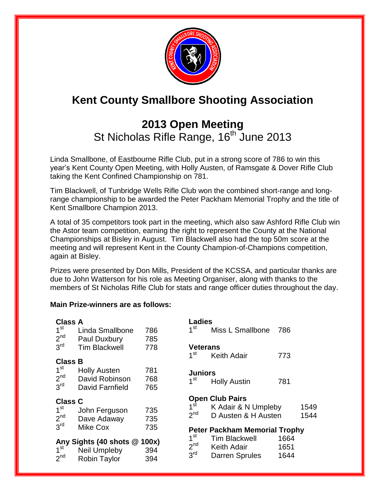

# **Kent County Smallbore Shooting Association**

## **2013 Open Meeting**  St Nicholas Rifle Range, 16<sup>th</sup> June 2013

Linda Smallbone, of Eastbourne Rifle Club, put in a strong score of 786 to win this year's Kent County Open Meeting, with Holly Austen, of Ramsgate & Dover Rifle Club taking the Kent Confined Championship on 781.

Tim Blackwell, of Tunbridge Wells Rifle Club won the combined short-range and longrange championship to be awarded the Peter Packham Memorial Trophy and the title of Kent Smallbore Champion 2013.

A total of 35 competitors took part in the meeting, which also saw Ashford Rifle Club win the Astor team competition, earning the right to represent the County at the National Championships at Bisley in August. Tim Blackwell also had the top 50m score at the meeting and will represent Kent in the County Champion-of-Champions competition, again at Bisley.

Prizes were presented by Don Mills, President of the KCSSA, and particular thanks are due to John Watterson for his role as Meeting Organiser, along with thanks to the members of St Nicholas Rifle Club for stats and range officer duties throughout the day.

#### **Main Prize-winners are as follows:**

| <b>Class A</b>  |                                              |            |                                    | <b>Ladies</b>                               |              |      |  |  |  |
|-----------------|----------------------------------------------|------------|------------------------------------|---------------------------------------------|--------------|------|--|--|--|
| 1 <sup>st</sup> | Linda Smallbone                              | 786        | 1 <sup>st</sup>                    | Miss L Smallbone                            | 786          |      |  |  |  |
| 2 <sup>nd</sup> | Paul Duxbury                                 | 785        |                                    |                                             |              |      |  |  |  |
| 3 <sup>rd</sup> | <b>Tim Blackwell</b>                         | 778        | <b>Veterans</b>                    |                                             |              |      |  |  |  |
| <b>Class B</b>  |                                              |            | 1 <sup>st</sup>                    | <b>Keith Adair</b>                          | 773          |      |  |  |  |
| 1 <sup>st</sup> | <b>Holly Austen</b>                          | 781        | <b>Juniors</b>                     |                                             |              |      |  |  |  |
| 2 <sup>nd</sup> | David Robinson                               | 768        | 1 <sup>st</sup>                    | <b>Holly Austin</b>                         | 781          |      |  |  |  |
| 3 <sup>rd</sup> | David Farnfield                              | 765        |                                    |                                             |              |      |  |  |  |
| <b>Class C</b>  |                                              |            | <b>Open Club Pairs</b>             |                                             |              |      |  |  |  |
|                 |                                              |            |                                    |                                             |              |      |  |  |  |
| 1 <sup>st</sup> |                                              |            | $1^{\rm st}$                       | K Adair & N Umpleby                         |              | 1549 |  |  |  |
| 2 <sup>nd</sup> | John Ferguson<br>Dave Adaway                 | 735<br>735 | 2 <sup>nd</sup>                    | D Austen & H Austen                         |              | 1544 |  |  |  |
| 3 <sup>rd</sup> | Mike Cox                                     | 735        |                                    | <b>Peter Packham Memorial Trophy</b>        |              |      |  |  |  |
|                 |                                              |            | 1 <sup>st</sup>                    | <b>Tim Blackwell</b>                        | 1664         |      |  |  |  |
| 1 <sup>st</sup> | Any Sights (40 shots @ 100x)<br>Neil Umpleby | 394        | 2 <sup>nd</sup><br>3 <sup>rd</sup> | <b>Keith Adair</b><br><b>Darren Sprules</b> | 1651<br>1644 |      |  |  |  |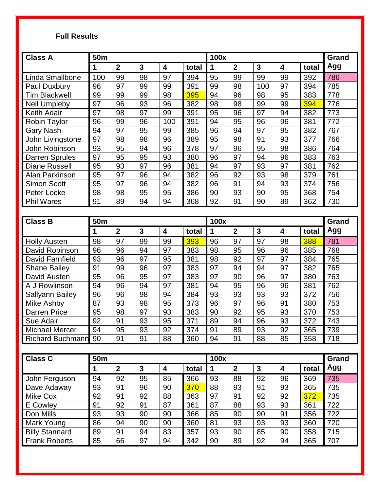## **Full Results**

| <b>Class A</b>        | 50m             |                         |              |                         | 100x  |             |                  |                 |    | <b>Grand</b> |     |
|-----------------------|-----------------|-------------------------|--------------|-------------------------|-------|-------------|------------------|-----------------|----|--------------|-----|
|                       | 1               | $\overline{2}$          | $\mathbf{3}$ | 4                       | total | $\mathbf 1$ | $\mathbf{2}$     | $\mathbf{3}$    | 4  | total        | Agg |
| Linda Smallbone       | 100             | 99                      | 98           | 97                      | 394   | 95          | 99               | 99              | 99 | 392          | 786 |
| Paul Duxbury          | 96              | 97                      | 99           | 99                      | 391   | 99          | 98               | 100             | 97 | 394          | 785 |
| <b>Tim Blackwell</b>  | 99              | 99                      | 99           | 98                      | 395   | 94          | 96               | 98              | 95 | 383          | 778 |
| <b>Neil Umpleby</b>   | 97              | 96                      | 93           | 96                      | 382   | 98          | 98               | 99              | 99 | 394          | 776 |
| Keith Adair           | 97              | 98                      | 97           | 99                      | 391   | 95          | 96               | 97              | 94 | 382          | 773 |
| Robin Taylor          | 96              | 99                      | 96           | 100                     | 391   | 94          | 95               | 96              | 96 | 381          | 772 |
| <b>Gary Nash</b>      | 94              | 97                      | 95           | 99                      | 385   | 96          | 94               | 97              | 95 | 382          | 767 |
| John Livingstone      | $\overline{97}$ | 98                      | 98           | 96                      | 389   | 95          | 98               | 91              | 93 | 377          | 766 |
| John Robinson         | 93              | 95                      | 94           | 96                      | 378   | 97          | 96               | 95              | 98 | 386          | 764 |
| Darren Sprules        | 97              | 95                      | 95           | 93                      | 380   | 96          | 97               | 94              | 96 | 383          | 763 |
| <b>Diane Russell</b>  | 95              | 93                      | 97           | 96                      | 381   | 94          | 97               | 93              | 97 | 381          | 762 |
| Alan Parkinson        | 95              | 97                      | 96           | 94                      | 382   | 96          | 92               | 93              | 98 | 379          | 761 |
| <b>Simon Scott</b>    | 95              | 97                      | 96           | 94                      | 382   | 96          | 91               | 94              | 93 | 374          | 756 |
| Peter Locke           | 98              | 98                      | 95           | 95                      | 386   | 90          | 93               | 90              | 95 | 368          | 754 |
| <b>Phil Wares</b>     | 91              | 89                      | 94           | 94                      | 368   | 92          | 91               | 90              | 89 | 362          | 730 |
|                       |                 |                         |              |                         |       |             |                  |                 |    |              |     |
| <b>Class B</b>        | <b>50m</b>      |                         |              |                         | 100x  |             |                  |                 |    | Grand        |     |
|                       | 1               | $\overline{\mathbf{2}}$ | $\mathbf{3}$ | $\overline{\mathbf{4}}$ | total | $\mathbf 1$ | $\mathbf{2}$     | $\mathbf{3}$    | 4  | total        | Agg |
| <b>Holly Austen</b>   | 98              | 97                      | 99           | 99                      | 393   | 96          | 97               | 97              | 98 | 388          | 781 |
| David Robinson        | 96              | 96                      | 94           | 97                      | 383   | 98          | 95               | 96              | 96 | 385          | 768 |
| David Farnfield       | 93              | 96                      | 97           | 95                      | 381   | 98          | 92               | 97              | 97 | 384          | 765 |
| <b>Shane Bailey</b>   | 91              | 99                      | 96           | 97                      | 383   | 97          | 94               | 94              | 97 | 382          | 765 |
| David Austen          | 95              | 96                      | 95           | 97                      | 383   | 97          | 90               | 96              | 97 | 380          | 763 |
| A J Rowlinson         | 94              | 96                      | 94           | 97                      | 381   | 94          | 95               | 96              | 96 | 381          | 762 |
| Sallyann Bailey       | 96              | 96                      | 98           | 94                      | 384   | 93          | 93               | 93              | 93 | 372          | 756 |
| Mike Ashby            | 87              | 93                      | 98           | 95                      | 373   | 96          | 97               | 96              | 91 | 380          | 753 |
| <b>Darren Price</b>   | 95              | 98                      | 97           | 93                      | 383   | 90          | 92               | 95              | 93 | 370          | 753 |
| Sue Adair             | 92              | 91                      | 93           | 95                      | 371   | 89          | 94               | 96              | 93 | 372          | 743 |
| <b>Michael Mercer</b> | 94              | 95                      | 93           | 92                      | 374   | 91          | 89               | $9\overline{3}$ | 92 | 365          | 739 |
| Richard Buchmann 90   |                 | 91                      | 91           | 88                      | 360   | 94          | 91               | 88              | 85 | 358          | 718 |
|                       |                 |                         |              |                         |       |             |                  |                 |    |              |     |
| <b>Class C</b>        | 50m             |                         |              |                         | 100x  |             |                  |                 |    | Grand        |     |
|                       | 1               | $\mathbf 2$             | $\mathbf{3}$ | 4                       | total | $\mathbf 1$ | $\boldsymbol{2}$ | $\mathbf{3}$    | 4  | total        | Agg |
| John Ferguson         | 94              | 92                      | 95           | 85                      | 366   | 93          | 88               | 92              | 96 | 369          | 735 |
| Dave Adaway           | 93              | 91                      | 96           | 90                      | 370   | 88          | 93               | 91              | 93 | 365          | 735 |
| Mike Cox              | 92              | 91                      | 92           | 88                      | 363   | 97          | 91               | 92              | 92 | 372          | 735 |
| E Cowley              | 91              | 92                      | 91           | 87                      | 361   | 87          | 88               | 93              | 93 | 361          | 722 |
| Don Mills             | 93              | 93                      | 90           | 90                      | 366   | 85          | 90               | 90              | 91 | 356          | 722 |
| Mark Young            | 86              | 94                      | 90           | 90                      | 360   | 81          | 93               | 93              | 93 | 360          | 720 |
| <b>Billy Stannard</b> | 89              | 91                      | 94           | 83                      | 357   | 93          | 90               | 85              | 90 | 358          | 715 |
| <b>Frank Roberts</b>  | 85              | 66                      | 97           | 94                      | 342   | 90          | 89               | 92              | 94 | 365          | 707 |